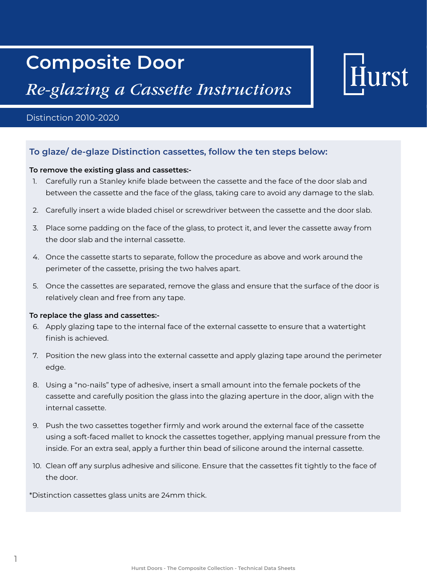## **Composite Door**

## *Re-glazing a Cassette Instructions*

#### Distinction 2010-2020

### **To glaze/ de-glaze Distinction cassettes, follow the ten steps below:**

#### **To remove the existing glass and cassettes:-**

- 1. Carefully run a Stanley knife blade between the cassette and the face of the door slab and between the cassette and the face of the glass, taking care to avoid any damage to the slab.
- 2. Carefully insert a wide bladed chisel or screwdriver between the cassette and the door slab.
- 3. Place some padding on the face of the glass, to protect it, and lever the cassette away from the door slab and the internal cassette.
- 4. Once the cassette starts to separate, follow the procedure as above and work around the perimeter of the cassette, prising the two halves apart.
- 5. Once the cassettes are separated, remove the glass and ensure that the surface of the door is relatively clean and free from any tape.

#### **To replace the glass and cassettes:-**

- 6. Apply glazing tape to the internal face of the external cassette to ensure that a watertight finish is achieved.
- 7. Position the new glass into the external cassette and apply glazing tape around the perimeter edge.
- 8. Using a "no-nails" type of adhesive, insert a small amount into the female pockets of the cassette and carefully position the glass into the glazing aperture in the door, align with the internal cassette.
- 9. Push the two cassettes together firmly and work around the external face of the cassette using a soft-faced mallet to knock the cassettes together, applying manual pressure from the inside. For an extra seal, apply a further thin bead of silicone around the internal cassette.
- 10. Clean off any surplus adhesive and silicone. Ensure that the cassettes fit tightly to the face of the door.

\*Distinction cassettes glass units are 24mm thick.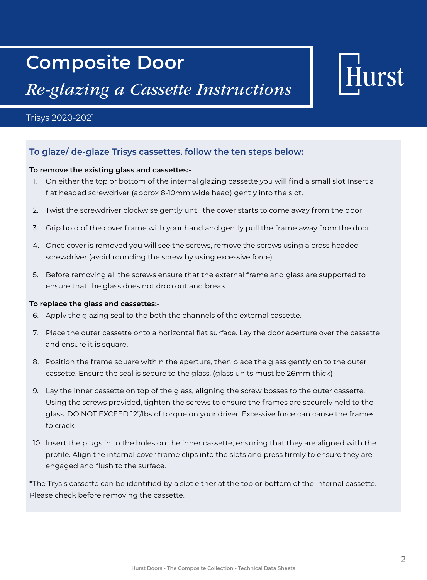## **Composite Door**

### *Re-glazing a Cassette Instructions*

# urst

#### Trisys 2020-2021

### **To glaze/ de-glaze Trisys cassettes, follow the ten steps below:**

#### **To remove the existing glass and cassettes:-**

- 1. On either the top or bottom of the internal glazing cassette you will find a small slot Insert a flat headed screwdriver (approx 8-10mm wide head) gently into the slot.
- 2. Twist the screwdriver clockwise gently until the cover starts to come away from the door
- 3. Grip hold of the cover frame with your hand and gently pull the frame away from the door
- 4. Once cover is removed you will see the screws, remove the screws using a cross headed screwdriver (avoid rounding the screw by using excessive force)
- 5. Before removing all the screws ensure that the external frame and glass are supported to ensure that the glass does not drop out and break.

#### **To replace the glass and cassettes:-**

- 6. Apply the glazing seal to the both the channels of the external cassette.
- 7. Place the outer cassette onto a horizontal flat surface. Lay the door aperture over the cassette and ensure it is square.
- 8. Position the frame square within the aperture, then place the glass gently on to the outer cassette. Ensure the seal is secure to the glass. (glass units must be 26mm thick)
- 9. Lay the inner cassette on top of the glass, aligning the screw bosses to the outer cassette. Using the screws provided, tighten the screws to ensure the frames are securely held to the glass. DO NOT EXCEED 12"/lbs of torque on your driver. Excessive force can cause the frames to crack.
- 10. Insert the plugs in to the holes on the inner cassette, ensuring that they are aligned with the profile. Align the internal cover frame clips into the slots and press firmly to ensure they are engaged and flush to the surface.

\*The Trysis cassette can be identified by a slot either at the top or bottom of the internal cassette. Please check before removing the cassette.